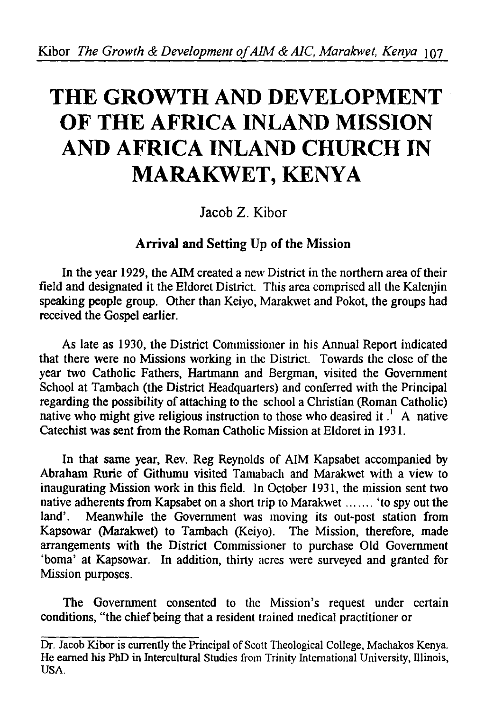# **THE GROWTH AND DEVELOPMENT OF THE AFRICA INLAND MISSION AND AFRICA INLAND CHURCH IN MARAKWET, KENYA**

Jacob Z. Kibor

# Arrival and Setting Up of the Mission

In the year 1929, the AIM created a new District in the northern area of their field and designated it the Eldoret District. This area comprised all the Kalenjin speaking people group. Other than Keiyo, Marakwet and Pokot, the groups had received the Gospel earlier.

As late as 1930, the District Commissioner in his Annual Report indicated that there were no Missions working in the District. Towards the close of the year two Catholic Fathers, Hartmann and Bergman, visited the Government School at Tambach (the District Headquarters) and conferred with the Principal regarding the possibility of attaching to the school a Christian (Roman Catholic) garding the possibility of attaching to the sendor a christian (fedinal catholic)<br>stive who might give religious instruction to those who deasired it  $\frac{1}{2}$ . A native Catechist was sent from the Roman Catholic Mission at Eldoret in 1931.

In that same year, Rev. Reg Reynolds of AIM Kapsabet accompanied by Abraham Rurie of Githumu visited Tamabach and Marakwet with a view to inaugurating Mission work in this field. In October 1931, the mission sent two native adherents from Kapsabet on a short trip to Marakwet ....... 'to spy out the land'. Meanwhile the Government was moving its out-post station from Kapsowar (Marakwet) to Tambach (Keiyo). The Mission, therefore, made arrangements with the District Commissioner to purchase Old Government 'boma' at Kapsowar. In addition, thirty acres were surveyed and granted for Mission purposes.

The Government consented to the Mission's request under certain conditions, "the chief being that a resident trained medical practitioner or

Dr. Jacob Kibor is currently the Principal of Scott Theological College, Machakos Kenya. He earned his PhD in Intercultural Studies from Trinity International University, Illinois, USA.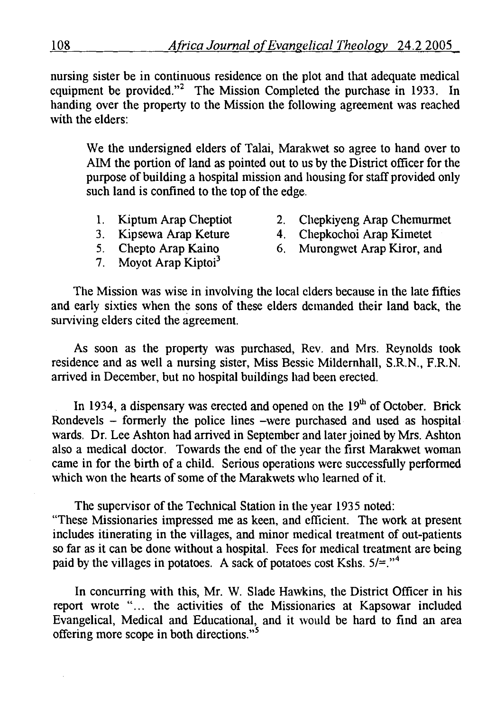nursing sister be in continuous residence on the plot and that adequate medical equipment be provided."<sup>2</sup> The Mission Completed the purchase in 1933. In handing over the property to the Mission the following agreement was reached with the elders:

We the undersigned elders of Talai, Marakwet so agree to hand over to AIM the portion of land as pointed out to us by the District officer for the purpose of building a hospital mission and housing for staff provided only such land is confined to the top of the edge.

- 1. Kiptum Arap Cheptiot
- 3. Kipsewa Arap Keture
- 5. Chepto Arap Kaino
- 7. Moyot Arap Kiptoi<sup>3</sup>
- 2. Chepkiyeng Arap Chemurmet
- 4. Chepkochoi Arap Kimetet
- 6. Murongwet Arap Kiror, and

The Mission was wise in involving the local elders because in the late fifties and early sixties when the sons of these elders demanded their land back, the surviving elders cited the agreement.

As soon as the property was purchased, Rev. and Mrs. Reynolds took residence and as well a nursing sister, Miss Bessie Mildemhall, S.R.N., F.R.N. arrived in December, but no hospital buildings had been erected.

In 1934, a dispensary was erected and opened on the  $19<sup>th</sup>$  of October. Brick Rondevels - formerly the police lines -were purchased and used as hospital wards. Dr. Lee Ashton had arrived in September and later joined by Mrs. Ashton also a medical doctor. Towards the end of the year the first Marakwet woman came in for the birth of a child. Serious operations were successfully performed which won the hearts of some of the Marakwets who learned of it.

The supervisor of the Technical Station in the year 1935 noted: "These Missionaries impressed me as keen, and efficient. The work at present includes itinerating in the villages, and minor medical treatment of out-patients so far as it can be done without a hospital. Fees for medical treatment are being paid by the villages in potatoes. A sack of potatoes cost Kshs.  $5/2$ ."<sup>4</sup>

In concurring with this, Mr. W. Slade Hawkins, the District Officer in his report wrote ".. . the activities of the Missionaries at Kapsowar included Evangelical, Medical and Educational, and it would be hard to find an area offering more scope in both directions. *"<sup>5</sup>*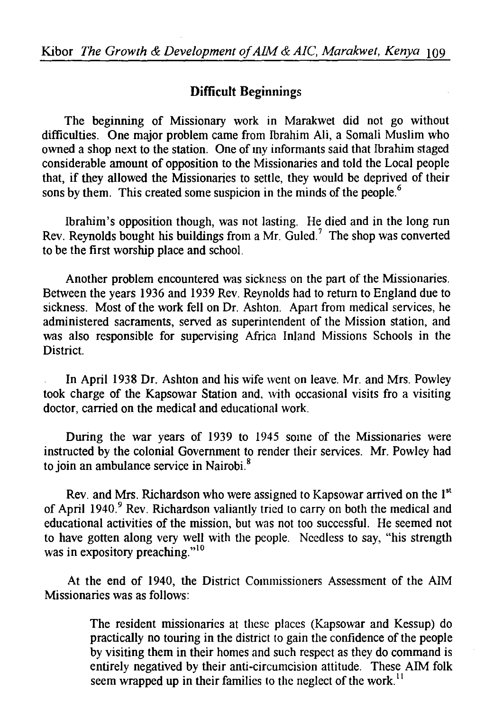## **Difficult** Beginnings

The beginning of Missionary work in Marakwet did not go without difficulties. One major problem came from Ibrahim Ali, a Somali Muslim who owned a shop next to the station. One of my informants said that Ibrahim staged considerable amount of opposition to the Missionaries and told the Local people that, if they allowed the Missionaries to settle, they would be deprived of their sons by them. This created some suspicion in the minds of the people.<sup>6</sup>

Ibrahim's opposition though, was not lasting. He died and in the long run Rev. Reynolds bought his buildings from a Mr. Guled.<sup>7</sup> The shop was converted to be the first worship place and school.

Another problem encountered was sickness on the part of the Missionaries. Between the years 1936 and 1939 Rev. Reynolds had to return to England due to sickness. Most of the work fell on Dr. Ashton. Apart from medical services, he administered sacraments, served as superintendent of the Mission station, and was also responsible for supervising Africa Inland Missions Schools in the District.

In April 1938 Dr. Ashton and his wife went on leave. Mr. and Mrs. Powley took charge of the Kapsowar Station and, with occasional visits fro a visiting doctor, carried on the medical and educational work.

During the war years of 1939 to 1945 some of the Missionaries were instructed by the colonial Government to render their services. Mr. Powley had to join an ambulance service in Nairobi.<sup>8</sup>

Rev. and Mrs. Richardson who were assigned to Kapsowar arrived on the 1<sup>st</sup> of April 1940.<sup>9</sup> Rev. Richardson valiantly tried to carry on both the medical and educational activities of the mission, but was not too successful. He seemed not to have gotten along very well with the people. Needless to say, "his strength was in expository preaching."<sup>10</sup>

At the end of 1940, the District Commissioners Assessment of the AIM Missionaries was as follows:

> The resident missionaries at these places (Kapsowar and Kessup) do practically no touring in the district to gain the confidence of the people by visiting them in their homes and such respect as they do command is entirely negatived by their anti-circumcision attitude. These AIM folk seem wrapped up in their families to the neglect of the work.<sup>11</sup>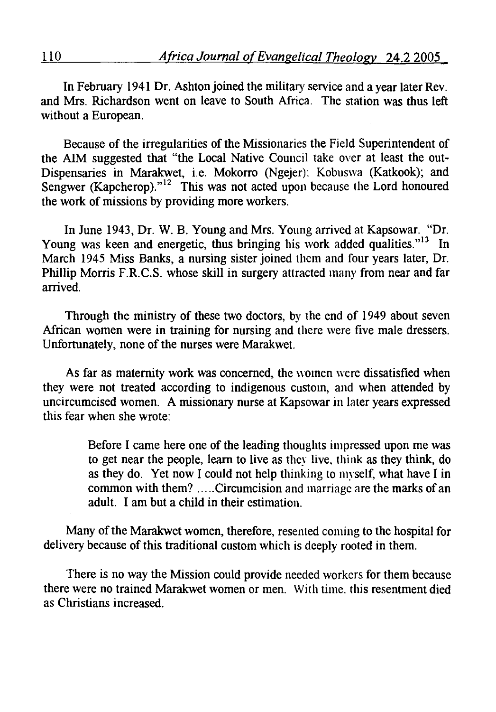In February 1941 Dr. Ashton joined the military service and a year later Rev. and Mrs. Richardson went on leave to South Africa. The station was thus left without a European.

Because of the irregularities of the Missionaries the Field Superintendent of the AIM suggested that "the Local Native Council take over at least the out-Dispensaries in Marakwet, i.e. Mokorro (Ngejer): Kobuswa (Katkook); and Sengwer (Kapcherop). $12$  This was not acted upon because the Lord honoured the work of missions by providing more workers.

In June 1943, Dr. W. B. Young and Mrs. Young arrived at Kapsowar. "Dr. Young was keen and energetic, thus bringing his work added qualities."<sup>13</sup> In March 1945 Miss Banks, a nursing sister joined them and four years later, Dr. Phillip Morris F.R.C.S. whose skill in surgery attracted many from near and far arrived.

Through the ministry of these two doctors, by the end of 1949 about seven African women were in training for nursing and there were five male dressers. Unfortunately, none of the nurses were Marakwet.

As far as maternity work was concerned, the women were dissatisfied when they were not treated according to indigenous custom, and when attended by uncircumcised women. A missionary nurse at Kapsowar in later years expressed this fear when she wrote:

> Before I came here one of the leading thoughts impressed upon me was to get near the people, learn to live as they live. think as they think, do as they do. Yet now I could not help thinking to myself, what have I in common with them? ..... Circumcision and marriage are the marks of an adult. I am but a child in their estimation.

Many of the Marakwet women, therefore, resented coming to the hospital for delivery because of this traditional custom which is deeply rooted in them.

There is no way the Mission could provide needed workers for them because there were no trained Marakwet women or men. With time. this resentment died as Christians increased.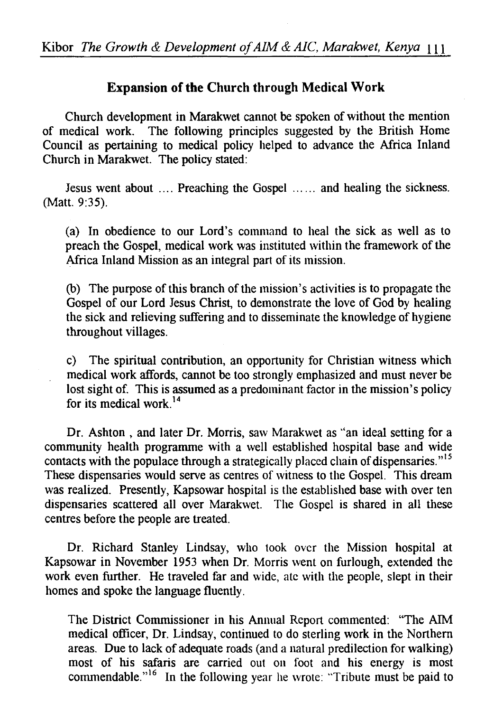## **Expansion of the Church through Medical Work**

Church development in Marakwet cannot be spoken of without the mention of medical work. The following principles suggested by the British Home Council as pertaining to medical policy helped to advance the Africa Inland Church in Marakwet. The policy stated:

Jesus went about .... Preaching the Gospel ...... and healing the sickness. (Matt. 9:35).

(a) In obedience to our Lord's command to heal the sick as well as to preach the Gospel, medical work was instituted within the framework of the Africa Inland Mission as an integral part of its mission.

(b) The purpose of this branch of the mission's activities is to propagate the Gospel of our Lord Jesus Christ, to demonstrate the love of God by healing the sick and relieving suffering and to disseminate the knowledge of hygiene throughout villages.

c) The spiritual contribution, an opportunity for Christian witness which medical work affords, cannot be too strongly emphasized and must never be lost sight of. This is assumed as a predominant factor in the mission's policy for its medical work. <sup>14</sup>

Dr. Ashton , and later Dr. Morris, saw Marakwet as ''an ideal setting for a community health programme with a well established hospital base and wide contacts with the populace through a strategically placed chain of dispensaries."<sup>15</sup> These dispensaries would serve as centres of witness to the Gospel. This dream was realized. Presently, Kapsowar hospital is the established base with over ten dispensaries scattered all over Marakwet. The Gospel is shared in all these centres before the people are treated.

Dr. Richard Stanley Lindsay, who took over the Mission hospital at Kapsowar in November 1953 when Dr. Morris went on furlough, extended the work even further. He traveled far and wide, ate with the people, slept in their homes and spoke the language fluently.

The District Commissioner in his Annual Report commented: "The AIM medical officer, Dr. Lindsay, continued to do sterling work in the Northern areas. Due to lack of adequate roads (and a natural predilection for walking) most of his safaris are carried out on foot and his energy is most commendable."<sup>16</sup> In the following year he wrote: "Tribute must be paid to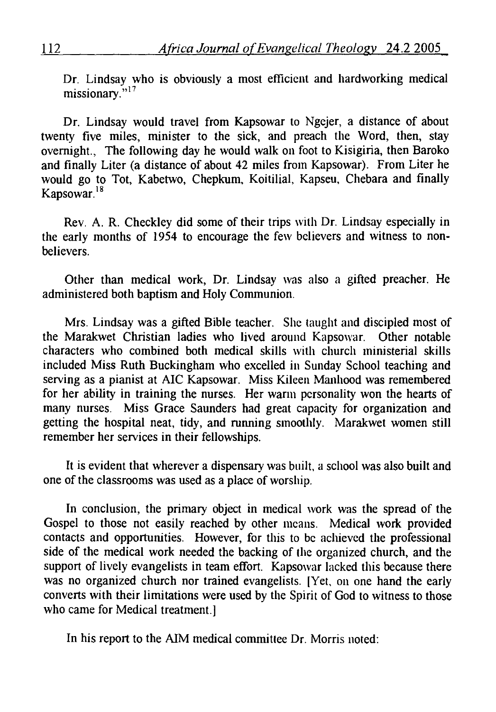Dr. Lindsay who is obviously a most efficient and hardworking medical missionary."<sup>17</sup>

Dr. Lindsay would travel from Kapsowar to Ngejer, a distance of about twenty five miles, minister to the sick, and preach the Word, then, stay overnight., The following day he would walk on foot to Kisigiria, then Baroko and finally Liter (a distance of about 42 miles from Kapsowar). From Liter he would go to Tot, Kabetwo, Chepkum, Koitilial, Kapseu, Chebara and finally Kapsowar. $18$ 

Rev. A. R. Checkley did some of their trips with Dr. Lindsay especially in the early months of 1954 to encourage the few believers and witness to nonbelievers.

Other than medical work, Dr. Lindsay was also a gifted preacher. He administered both baptism and Holy Communion.

Mrs. Lindsay was a gifted Bible teacher. She taught and discipled most of the Marakwet Christian ladies who lived around Kapsowar. Other notable characters who combined both medical skills with church ministerial skills included Miss Ruth Buckingham who excelled in Sunday School teaching and serving as a pianist at AIC Kapsowar. Miss Kileen Manhood was remembered for her ability in training the nurses. Her warm personality won the hearts of many nurses. Miss Grace Saunders had great capacity for organization and getting the hospital neat, tidy, and running smoothly. Marakwet women still remember her services in their fellowships.

It is evident that wherever a dispensary was built, a school was also built and one of the classrooms was used as a place of worship.

In conclusion, the primary object in medical work was the spread of the Gospel to those not easily reached by other means. Medical work provided contacts and opportunities. However, for this to be achieved the professional side of the medical work needed the backing of the organized church, and the support of lively evangelists in team effort. Kapsowar lacked this because there was no organized church nor trained evangelists. [Yet, on one hand the early converts with their limitations were used by the Spirit of God to witness to those who came for Medical treatment.]

In his report to the AIM medical committee Dr. Morris noted: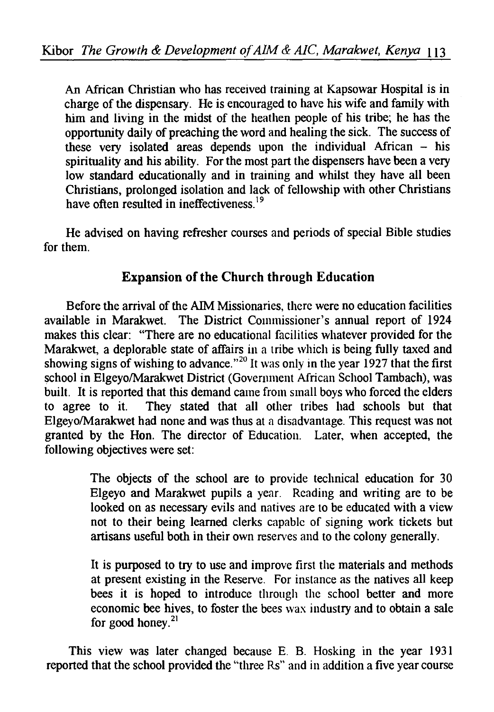An African Christian who has received training at Kapsowar Hospital is in charge of the dispensary. He is encouraged to have his wife and family with him and living in the midst of the heathen people of his tribe; he has the opportunity daily of preaching the word and healing the sick. The success of these very isolated areas depends upon the individual African  $-$  his spirituality and his ability. For the most part the dispensers have been a very low standard educationally and in training and whilst they have all been Christians, prolonged isolation and lack of fellowship with other Christians have often resulted in ineffectiveness<sup>19</sup>

He advised on having refresher courses and periods of special Bible studies for them.

# Expansion of the Church through Education

Before the arrival of the AIM Missionaries, there were no education facilities available in Marakwet. The District Commissioner's annual report of 1924 makes this clear: "There are no educational facilities whatever provided for the Marakwet, a deplorable state of affairs in a tribe which is being fully taxed and showing signs of wishing to advance.<sup>"20</sup>It was only in the year 1927 that the first school in Elgeyo/Marakwet District (Government African School Tambach), was built. It is reported that this demand came from small boys who forced the elders to agree to it. They stated that all other tribes had schools but that Elgeyo/Marakwet had none and was thus at a disadvantage. This request was not granted by the Hon. The director of Education. Later, when accepted, the following objectives were set:

> The objects of the school are to provide technical education for 30 Elgeyo and Marakwet pupils a year. Reading and writing are to be looked on as necessary evils and natives are to be educated with a view not to their being learned clerks capable of signing work tickets but artisans useful both in their own reserves and to the colony generally.

> It is purposed to try to use and improve first the materials and methods at present existing in the Reserve. For instance as the natives all keep bees it is hoped to introduce through the school better and more economic bee hives, to foster the bees wax industry and to obtain a sale for good honey. $21$

This view was later changed because E. B. Hosking in the year 1931 reported that the school provided the "three Rs" and in addition a five year course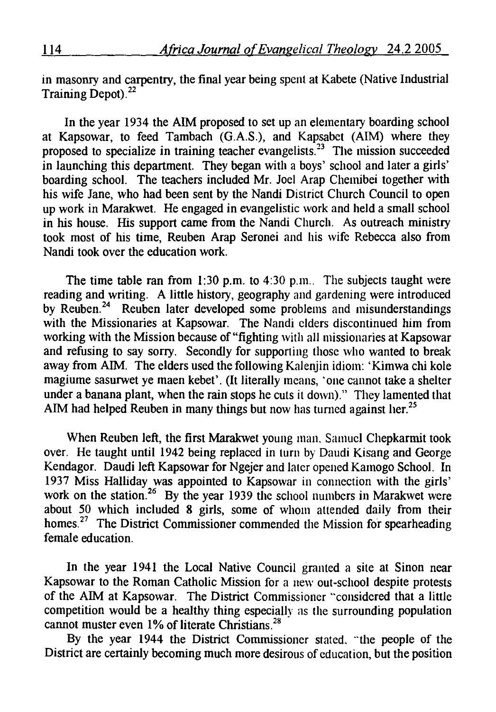in masonry and carpentry, the final year being spent at Kabete (Native Industrial Training Depot).<sup>22</sup>

In the year 1934 the AIM proposed to set up an elementary boarding school t Kapsowar, to feed Tambach  $(G.A.S.)$ , and Kapsabet  $(AIM)$  where they proposed to specialize in training teacher evangelists.<sup>23</sup> The mission succeeded in launching this department. They began with a boys' school and later a girls' boarding school. The teachers included Mr. Joel Arap Chemibei together with his wife Jane, who had been sent by the Nandi District Church Council to open up work in Marakwet. He engaged in evangelistic work and held a small school in his house. His support came from the Nandi Church. As outreach ministry took most of his time, Reuben Arap Seronei and his wife Rebecca also from Nandi took over the education work.

The time table ran from  $1:30$  p.m. to  $4:30$  p.m.. The subjects taught were reading and writing. A little history, geography and gardening were introduced by Reuben.<sup>24</sup> Reuben later developed some problems and misunderstandings with the Missionaries at Kapsowar. The Nandi ciders discontinued him from working with the Mission because of "fighting with all missionaries at Kapsowar and refusing to say sorry. Secondly for supporting those who wanted to break away from AIM. The elders used the following Kalenjin idiom: 'Kimwa chi kole magiume sasurwet ye maen kebet'. (It literally means, 'one cannot take a shelter under a banana plant, when the rain stops he cuts it down)." They lamented that AIM had helped Reuben in many things but now has turned against her.<sup>25</sup>

When Reuben left, the first Marakwet young man. Samuel Chepkarmit took over. He taught until 1942 being replaced in turn by Daudi Kisang and George Kendagor. Daudi left Kapsowar for Ngejer and later opened Kamogo School. In 1937 Miss Halliday was appointed to Kapsowar in connection with the girls' work on the station.<sup>26</sup> By the year 1939 the school numbers in Marakwet were about 50 which included 8 girls, some of whom attended daily from their homes.<sup>27</sup> The District Commissioner commended the Mission for spearheading female education.

In the year 1941 the Local Native Council granted a site at Sinon near Kapsowar to the Roman Catholic Mission for a new out-school despite protests of the AIM at Kapsowar. The District Commissioner "considered that a little competition would be a healthy thing especially as the surrounding population cannot muster even 1% of literate Christians.<sup>28</sup>

By the year 1944 the District Commissioner stated. "'the people of the District are certainly becoming much more desirous of education, but the position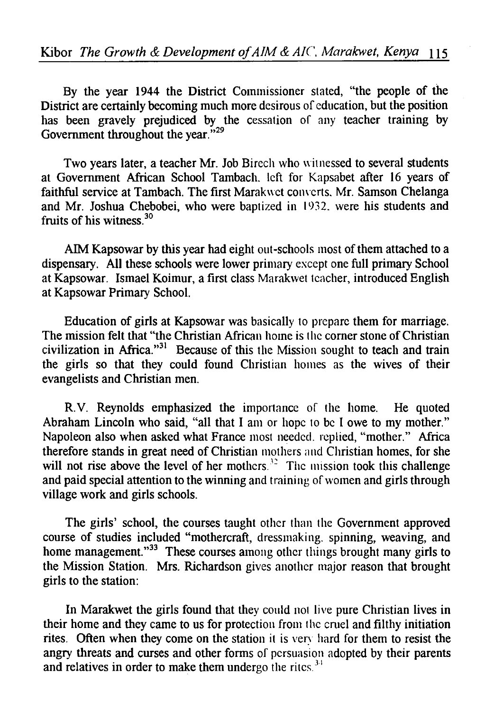By the year 1944 the District Commissioner stated, "the people of the District are certainly becoming much more desirous of education, but the position has been gravely prejudiced by the cessation of any teacher training by Government throughout the year."<sup>29</sup>

Two years later, a teacher Mr. Job Birech who witnessed to several students at Government African School Tambach. left for Kapsabet after 16 years of faithful service at Tambach. The first Marakwet com·erts. Mr. Samson Chelanga and Mr. Joshua Chebobei, who were baptized in 1932. were his students and fruits of his witness 30

AIM Kapsowar by this year had eight out-schools most of them attached to a dispensary. All these schools were lower primary except one full primary School at Kapsowar. Ismael Koimur, a first class Marakwet teacher, introduced English at Kapsowar Primary School.

Education of girls at Kapsowar was basically to prepare them for marriage. The mission felt that "the Christian African home is the corner stone of Christian civilization in Africa."<sup>31</sup> Because of this the Mission sought to teach and train the girls so that they could found Christian homes as the wives of their evangelists and Christian men.

R.V. Reynolds emphasized the importance of the home. He quoted Abraham Lincoln who said, "all that I am or hope to be I owe to my mother." Napoleon also when asked what France most needed. replied, "mother." Africa therefore stands in great need of Christian mothers and Christian homes, for she will not rise above the level of her mothers. $32$  The mission took this challenge and paid special attention to the winning and training of women and girls through village work and girls schools.

The girls' school, the courses taught other than the Government approved course of studies included "mothercraft, dressmaking. spinning, weaving, and home management."<sup>33</sup> These courses among other things brought many girls to the Mission Station. Mrs. Richardson gives another major reason that brought girls to the station:

In Marakwet the girls found that they could not live pure Christian lives in their home and they came to us for protection from the cruel and filthy initiation rites. Often when they come on the station it is very hard for them to resist the angry threats and curses and other forms of persuasion adopted by their parents and relatives in order to make them undergo the rites.  $34$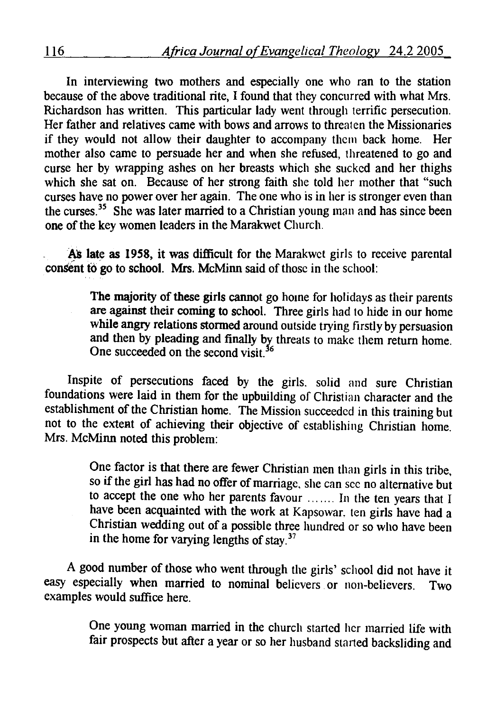In interviewing two mothers and especially one who ran to the station because of the above traditional rite, I found that they concurred with what Mrs. Richardson has written. This particular lady went through terrific persecution. Her father and relatives came with bows and arrows to threaten the Missionaries if they would not allow their daughter to accompany them back home. Her mother also came to persuade her and when she refused, threatened to go and curse her by wrapping ashes on her breasts which she sucked and her thighs which she sat on. Because of her strong faith she told her mother that "such curses have no power over her again. The one who is in her is stronger even than the curses.<sup>35</sup> She was later married to a Christian young man and has since been one of the key women leaders in the Marakwet Church.

As late as 1958, it was difficult for the Marakwet girls to receive parental consent to go to school. Mrs. McMinn said of those in the school:

> The majority of these girls cannot go home for holidays as their parents are against their coming to school. Three girls had to hide in our home while angry relations stormed around outside trying firstly by persuasion and then by pleading and finally by threats to make them return home. One succeeded on the second visit.<sup>36</sup>

Inspite of persecutions faced by the girls. solid and sure Christian foundations were laid in them for the upbuilding of Christian character and the establishment of the Christian home. The Mission succeeded in this training but not to the extent of achieving their objective of establishing Christian home. Mrs. McMinn noted this problem:

> One factor is that there are fewer Christian men than girls in this tribe, so if the girl has had no offer of marriage. she can sec no alternative but to accept the one who her parents favour ....... In the ten years that I have been acquainted with the work at Kapsowar. ten girls have had a Christian wedding out of a possible three hundred or so who have been in the home for varying lengths of stay.<sup>37</sup>

A good number of those who went through the girls' school did not have it easy especially when married to nominal believers or non-believers. Two examples would suffice here.

> One young woman married in the church started her married life with fair prospects but after a year or so her husband started backsliding and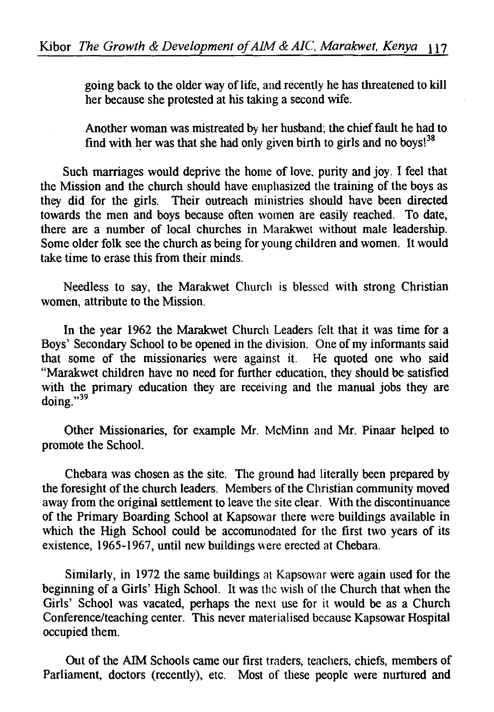going back to the older way of life, and recently he has threatened to kill her because she protested at his taking a second wife.

Another woman was mistreated by her husband: the chief fault he had to find with her was that she had only given birth to girls and no boys!<sup>38</sup>

Such marriages would deprive the home of love. purity and joy. I feel that the Mission and the church should have emphasized the training of the boys as they did for the girls. Their outreach ministries should have been directed towards the men and boys because often women are easily reached. To date, there are a number of local churches in Marakwet without male leadership. Some older folk see the church as being for young children and women. It would take time to erase this from their minds.

Needless to say, the Marakwet Church is blessed with strong Christian women, attribute to the Mission.

In the year 1962 the Marakwet Church Leaders felt that it was time for a Boys' Secondary School to be opened in the division. One of my informants said that some of the missionaries were against it. He quoted one who said "Marakwet children have no need for further education, they should be satisfied with the primary education they are receiving and the manual jobs they are doing."<sup>39</sup>

Other Missionaries, for example Mr. McMinn and Mr. Pinaar helped to promote the School.

Chebara was chosen as the site. The ground had literally been prepared by the foresight of the church leaders. Members of the Christian community moved away from the original settlement to leave the site clear. With the discontinuance of the Primary Boarding School at Kapsowar there were buildings available in which the High School could be accommodated for the first two years of its existence, 1965-1967, until new buildings were erected at Chebara.

Similarly, in 1972 the same buildings at Kapsowar were again used for the beginning of a Girls' High School. It was the wish of the Church that when the Girls' School was vacated, perhaps the next use for it would be as a Church Conference/teaching center. This never materialised because Kapsowar Hospital occupied them.

Out of the AIM Schools came our first traders, teachers, chiefs, members of Parliament, doctors (recently), etc. Most of these people were nurtured and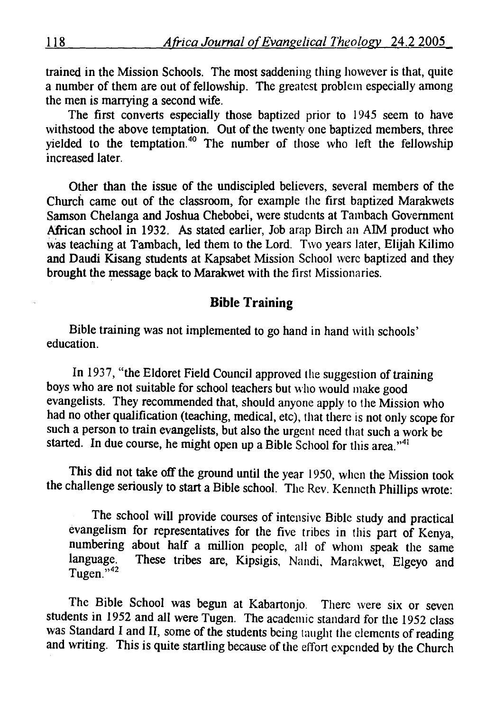trained in the Mission Schools. The most saddening thing however is that, quite a number of them are out of fellowship. The greatest problem especially among the men is marrying a second wife.

The first converts especially those baptized prior to 1945 seem to have withstood the above temptation. Out of the twenty one baptized members, three yielded to the temptation.<sup>40</sup> The number of those who left the fellowship increased later.

Other than the issue of the undiscipled believers, several members of the Church came out of the classroom, for example the first baptized Marakwets Samson Chelanga and Joshua Chebobei, were students at Tambach Government African school in 1932. As stated earlier, Job arap Birch an AIM product who was teaching at Tambach, led them to the Lord. Two years later, Elijah Kilimo and Daudi Kisang students at Kapsabet Mission School were baptized and they brought the message back to Marakwet with the first Missionaries.

### Bible Training

Bible training was not implemented to go hand in hand with schools' education.

In 1937, "the Eldoret Field Council approved the suggestion of training boys who are not suitable for school teachers but who would make good evangelists. They recommended that, should anyone apply to the Mission who had no other qualification (teaching, medical, etc), that there is not only scope for such a person to train evangelists, but also the urgent need that such a work be started. In due course, he might open up a Bible School for this area."<sup>41</sup>

This did not take off the ground until the year 1950, when the Mission took the challenge seriously to start a Bible school. The Rev. Kenneth Phillips wrote:

The school will provide courses of intensive Bible study and practical evangelism for representatives for the five tribes in this part of Kenya, numbering about half a million people, all of whom speak the same language. These tribes are, Kipsigis, Nandi, Marakwet, Elgeyo and Tugen." <sup>42</sup>

The Bible School was begun at Kabartonjo. There were six or seven students in 1952 and all were Tugen. The academic standard for the 1952 class was Standard I and II, some of the students being taught the elements of reading and writing. This is quite startling because of the effort expended by the Church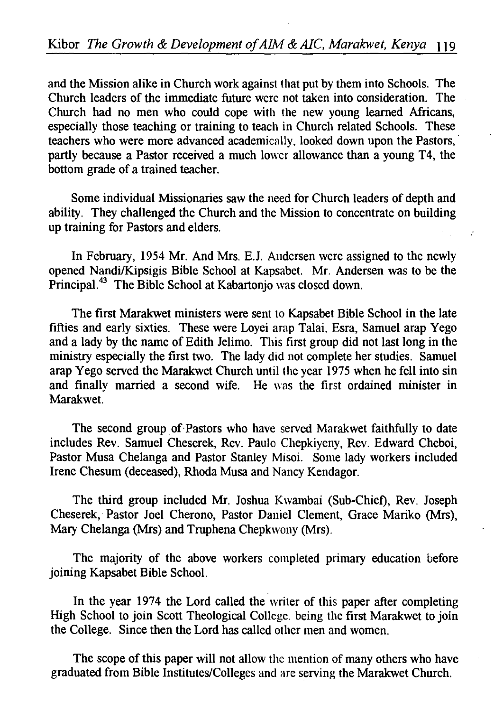and the Mission alike in Church work against that put by them into Schools. The Church leaders of the immediate future were not taken into consideration. The Church had no men who could cope with the new young learned Africans, especially those teaching or training to teach in Church related Schools. These teachers who were more advanced academically, looked down upon the Pastors, partly because a Pastor received a much lower allowance than a young T4, the bottom grade of a trained teacher.

Some individual Missionaries saw the need for Church leaders of depth and ability. They challenged the Church and the Mission to concentrate on building up training for Pastors and elders.

In February, 1954 Mr. And Mrs. E.J. Andersen were assigned to the newly opened Nandi/Kipsigis Bible School at Kapsabet. Mr. Andersen was to be the Principal.<sup>43</sup> The Bible School at Kabartonjo was closed down.

The first Marakwet ministers were sent to Kapsabet Bible School in the late fifties and early sixties. These were Loyei arap Talai, Esra, Samuel arap Yego and a lady by the name of Edith Jelimo. This first group did not last long in the ministry especially the first two. The lady did not complete her studies. Samuel arap Yego served the Marakwet Church until the year 1975 when he fell into sin and finally married a second wife. He was the first ordained minister in Marakwet.

The second group of Pastors who have served Marakwet faithfully to date includes Rev. Samuel Cheserek, Rev. Paulo Chepkiyeny, Rev. Edward Cheboi, Pastor Musa Chelanga and Pastor Stanley Misoi. Some lady workers included Irene Chesum (deceased), Rhoda Musa and Nancy Kendagor.

The third group included Mr. Joshua Kwambai (Sub-Chief), Rev. Joseph Cheserek, Pastor Joel Cherono, Pastor Daniel Clement, Grace Mariko (Mrs), Mary Chelanga (Mrs) and Truphena Chepkwony (Mrs).

The majority of the above workers completed primary education before joining Kapsabet Bible School.

In the year 1974 the Lord called the writer of this paper after completing High School to join Scott Theological College. being the first Marakwet to join the College. Since then the Lord has called other men and women.

The scope of this paper will not allow the mention of many others who have graduated from Bible Institutes/Colleges and are serving the Marakwet Church.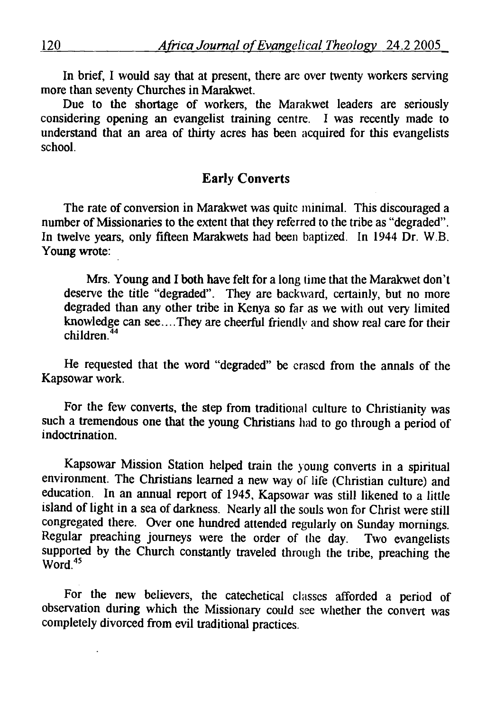In brief, I would say that at present, there arc over twenty workers serving more than seventy Churches in Marakwet.

Due to the shortage of workers, the Marakwet leaders are seriously considering opening an evangelist training centre. I was recently made to understand that an area of thirty acres has been acquired for this evangelists school.

## Early Converts

The rate of conversion in Marakwet was quite minimal. This discouraged a number of Missionaries to the extent that they referred to the tribe as "degraded". In twelve years, only fifteen Marakwets had been baptized. In 1944 Dr. W.B. Young wrote:

Mrs. Young and I both have felt for a long time that the Marakwet don't deserve the title "degraded". They are backward, certainly, but no more degraded than any other tribe in Kenya so far as we with out very limited example can use of the choice in the seed to the distribution of the complete can see ... They are cheerful friendly and show real care for their ildren.<sup>44</sup><br>11dren.<sup>44</sup>

He requested that the word "degraded" be erased from the annals of the Kapsowar work.

For the few converts, the step from traditional culture to Christianity was such a tremendous one that the young Christians had to go through a period of indoctrination.

Kapsowar Mission Station helped train the young converts in a spiritual environment. The Christians learned a new way of life (Christian culture) and education. In an annual report of 1945, Kapsowar was still likened to a little island of light in a sea of darkness. Nearly all the souls won for Christ were still congregated there. Over one hundred attended regularly on Sunday mornings. Regular preaching journeys were the order of the day. Two evangelists supported by the Church constantly traveled through the tribe, preaching the ipput<del>cu</del><br>'ord. <sup>45</sup>

For the new believers, the catechetical classes afforded a period of observation during which the Missionary could see whether the convert was completely divorced from evil traditional practices.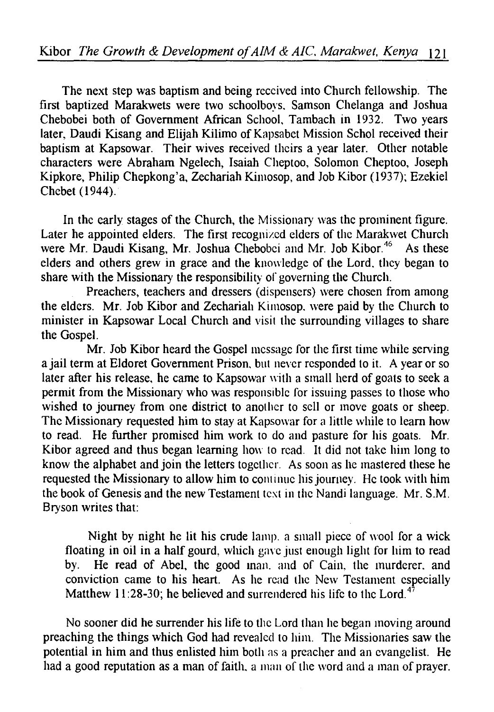The next step was baptism and being received into Church fellowship. The first baptized Marakwets were two schoolboys. Samson Chelanga and Joshua Chebobei both of Government African School. Tambach in 1932. Two years later, Daudi Kisang and Elijah Kilimo of Kapsabet Mission Schol received their baptism at Kapsowar. Their wives received theirs a year later. Other notable characters were Abraham Ngelech, Isaiah Cheptoo, Solomon Cheptoo, Joseph Kipkore, Philip Chepkong'a, Zechariah Kimosop, and Job Kibor (1937); Ezekiel Chebet (1944).

In the early stages of the Church, the Missionary was the prominent figure. Later he appointed elders. The first recognized ciders of the Marakwet Church were Mr. Daudi Kisang, Mr. Joshua Chebobei and Mr. Job Kibor.<sup>46</sup> As these elders and others grew in grace and the knowledge of the Lord. they began to share with the Missionary the responsibility of governing the Church.

Preachers, teachers and dressers (dispensers) were chosen from among the elders. Mr. Job Kibor and Zechariah Kimosop. were paid by the Church to minister in Kapsowar Local Church and visit the surrounding villages to share the Gospel.

Mr. Job Kibor heard the Gospel message for the first time while serving a jail term at Eldoret Government Prison. but never responded to it. A year or so later after his release, he came to Kapsowar with a small herd of goats to seek a permit from the Missionary who was responsible for issuing passes to those who wished to journey from one district to another to sell or move goats or sheep. The Missionary requested him to stay at Kapsowar for a little while to learn how to read. He further promised him work to do and pasture for his goats. Mr. Kibor agreed and thus began learning how to read. It did not take him long to know the alphabet and join the letters together. As soon as he mastered these he requested the Missionary to allow him to continue his journey. He took with him the book of Genesis and the new Testament text in the Nandi language. Mr. S.M. Bryson writes that:

Night by night he lit his crude lamp. a small piece of wool for a wick floating in oil in a half gourd, which gave just enough light for him to read by. He read of Abel, the good man. and of Cain, the murderer. and conviction came to his heart. As he read the New Testament especially Matthew 11:28-30; he believed and surrendered his life to the Lord.<sup>4</sup>

No sooner did he surrender his life to the Lord than he began moving around preaching the things which God had revealed to him. The Missionaries saw the potential in him and thus enlisted him both as a preacher and an evangelist. He had a good reputation as a man of faith, a man of the word and a man of prayer.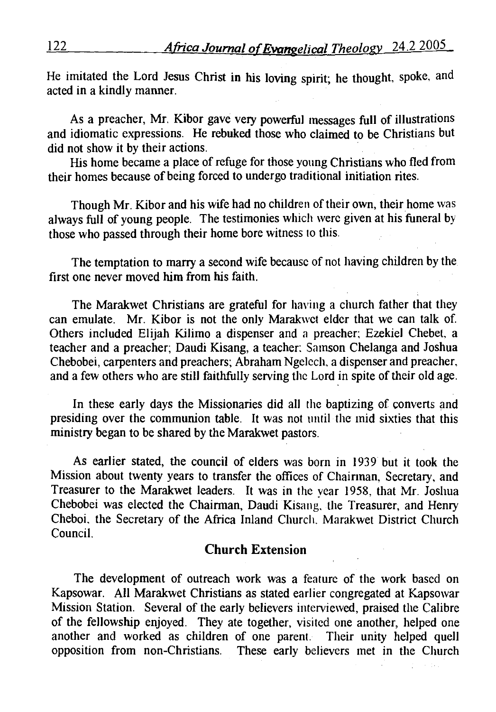He imitated the Lord Jesus Christ in his loving spirit; he thought, spoke, and acted in a kindly manner.

As a preacher, Mr. Kibor gave very powerful messages full of illustrations and idiomatic expressions. He rebuked those who claimed to be Christians but did not show it by their actions.

His home became a place of refuge for those young Christians who fled from their homes because of being forced to undergo traditional initiation rites.

Though Mr. Kibor and his wife had no children of their own, their home was always full of young people. The testimonies which were given at his funeral by those who passed through their home bore witness to this.

The temptation to marry a second wife because of not having children by the first one never moved him from his faith.

The Marakwet Christians are grateful for having a church father that they can emulate. Mr. Kibor is not the only Marakwet elder that we can talk of. Others included Elijah Kilimo a dispenser and a preacher: Ezekiel Chebet. a teacher and a preacher; Daudi Kisang, a teacher: Samson Chelanga and Joshua Chebobei, carpenters and preachers; Abraham Ngelech, a dispenser and preacher, and a few others who are still faithfully serving the Lord in spite of their old age.

In these early days the Missionaries did all the baptizing of converts and presiding over the communion table. It was not until the mid sixties that this ministry began to be shared by the Marakwet pastors.

As earlier stated, the council of elders was born in 1939 but it took the Mission about twenty years to transfer the offices of Chairman, Secretary, and Treasurer to the Marakwet leaders. It was in the vear 1958. that Mr. Joshua Chebobei was elected the Chairman, Daudi Kisang, the Treasurer, and Henry Cheboi. the Secretary of the Africa Inland Church. Marakwet District Church Council.

#### **Church** Extension

The development of outreach work was a feature of the work based on Kapsowar. All Marakwet Christians as stated earlier congregated at Kapsowar Mission Station. Several of the early believers interviewed, praised the Calibre of the fellowship enjoyed. They ate together, visited one another, helped one another and worked as children of one parent. Their unity helped quell opposition from non-Christians. These early believers met in the Church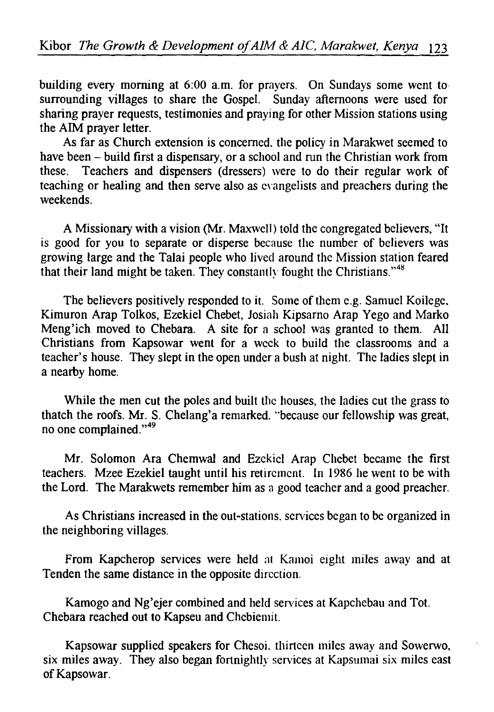building every morning at 6:00 a.m. for prayers. On Sundays some went to surrounding villages to share the Gospel. Sunday afternoons were used for sharing prayer requests, testimonies and praying for other Mission stations using the AIM prayer letter.

As far as Church extension is concerned. the policy in Marakwet seemed to have been - build first a dispensary, or a school and run the Christian work from these. Teachers and dispensers (dressers) were to do their regular work of teaching or healing and then serve also as evangelists and preachers during the weekends.

A Missionary with a vision (Mr. Maxwell) told the congregated believers, "It is good for you to separate or disperse because the number of believers was growing large and the Talai people who lived around the Mission station feared that their land might be taken. They constantly fought the Christians." <sup>48</sup>

The believers positively responded to it. Some of them e.g. Samuel Koilege. Kimuron Arap Tolkos, Ezekiel Chebet, Josiah Kipsarno Arap Yego and Marko Meng'ich moved to Chebara. A site for a school was granted to them. All Christians from Kapsowar went for a week to build the classrooms and a teacher's house. They slept in the open under a bush at night. The ladies slept in a nearby home.

While the men cut the poles and built the houses, the ladies cut the grass to thatch the roofs. Mr. S. Chelang'a remarked. "because our fellowship was great, no one complained."<sup>49</sup>

Mr. Solomon Ara Chemwal and Ezekiel Arap Chebet became the first teachers. Mzee Ezekiel taught until his retirement. In 1986 he went to be with the Lord. The Marakwets remember him as a good teacher and a good preacher.

As Christians increased in the out-stations. services began to be organized in the neighboring villages.

From Kapcherop services were held at Kamoi eight miles away and at Tenden the same distance in the opposite direction.

Kamogo and Ng'ejer combined and held services at Kapchebau and Tot. Chebara reached out to Kapseu and Chebiemit.

Kapsowar supplied speakers for Chesoi. thirteen miles away and Sowerwo, six miles away. They also began fortnightly services at Kapsumai six miles east of Kapsowar.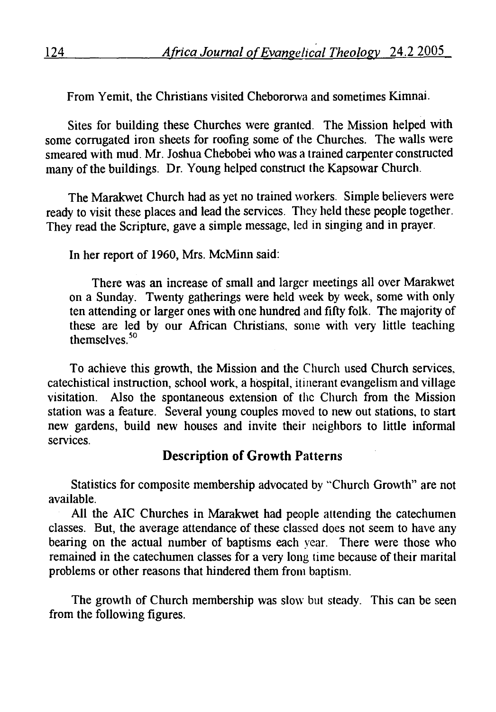From Yemit, the Christians visited Chebororwa and sometimes Kimnai.

Sites for building these Churches were granted. The Mission helped with some corrugated iron sheets for roofing some of the Churches. The walls were smeared with mud. Mr. Joshua Chebobei who was a trained carpenter constructed many of the buildings. Dr. Young helped construct the Kapsowar Church.

The Marakwet Church had as yet no trained workers. Simple believers were ready to visit these places and lead the services. They held these people together. They read the Scripture, gave a simple message, led in singing and in prayer.

In her report of 1960, Mrs. McMinn said:

There was an increase of small and larger meetings all over Marakwet on a Sunday. Twenty gatherings were held week by week, some with only ten attending or larger ones with one hundred and fifty folk. The majority of these are led by our African Christians, some with very little teaching themselves.<sup>50</sup>

To achieve this growth, the Mission and the Church used Church services. catechistical instruction, school work, a hospital, itinerant evangelism and village visitation. Also the spontaneous extension of the Church from the Mission station was a feature. Several young couples moved to new out stations, to start new gardens, build new houses and invite their neighbors to little informal services.

## **Description of Growth** Patterns

Statistics for composite membership advocated by "Church Growth" are not available.

All the AIC Churches in Marakwet had people attending the catechumen classes. But, the average attendance of these classed does not seem to have any bearing on the actual number of baptisms each year. There were those who remained in the catechumen classes for a very long time because of their marital problems or other reasons that hindered them from baptism.

The growth of Church membership was slow but steady. This can be seen from the following figures.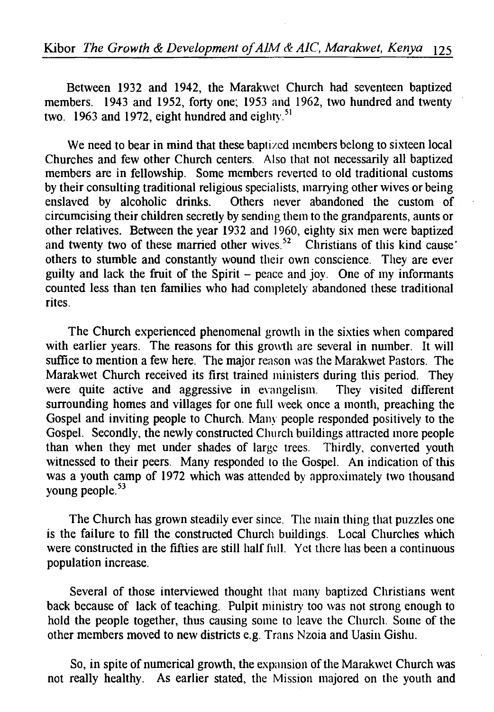Between 1932 and 1942, the Marakwet Church had seventeen baptized members. 1943 and 1952, forty one; 1953 and 1962, two hundred and twenty two. 1963 and 1972, eight hundred and eighty.<sup>51</sup>

We need to bear in mind that these baptized members belong to sixteen local Churches and few other Church centers. Also that not necessarily all baptized members are in fellowship. Some members reverted to old traditional customs by their consulting traditional religious specialists, marrying other wives or being<br>enslaved by alcoholic drinks. Others never abandoned the custom of Others never abandoned the custom of circumcising their children secretly by sending them to the grandparents, aunts or other relatives. Between the year 1932 and 1960, eighty six men were baptized and twenty two of these married other wives.<sup>52</sup> Christians of this kind cause others to stumble and constantly wound their own conscience. They are ever guilty and lack the fruit of the Spirit  $-$  peace and joy. One of my informants counted less than ten families who had completely abandoned these traditional rites.

The Church experienced phenomenal growth in the sixties when compared with earlier years. The reasons for this growth are several in number. It will suffice to mention a few here. The major reason was the Marakwet Pastors. The Marakwet Church received its first trained ministers during this period. They were quite active and aggressive in evangelism. They visited different surrounding homes and villages for one full week once a month, preaching the Gospel and inviting people to Church. Many people responded positively to the Gospel. Secondly, the newly constructed Church buildings attracted more people than when they met under shades of large trees. Thirdly, converted youth witnessed to their peers. Many responded to the Gospel. An indication of this was a youth camp of 1972 which was attended by approximately two thousand young people.<sup>53</sup>

The Church has grown steadily ever since. The main thing that puzzles one is the failure to fill the constructed Church buildings. Local Churches which were constructed in the fifties are still half full. Yet there has been a continuous population increase.

Several of those interviewed thought that many baptized Christians went back because of lack of teaching. Pulpit ministry too was not strong enough to hold the people together, thus causing some to leave the Church. Some of the other members moved to new districts e.g. Trans Nzoia and Uasin Gishu.

So, in spite of numerical growth, the expansion of the Marakwet Church was not really healthy. As earlier stated, the Mission majored on the youth and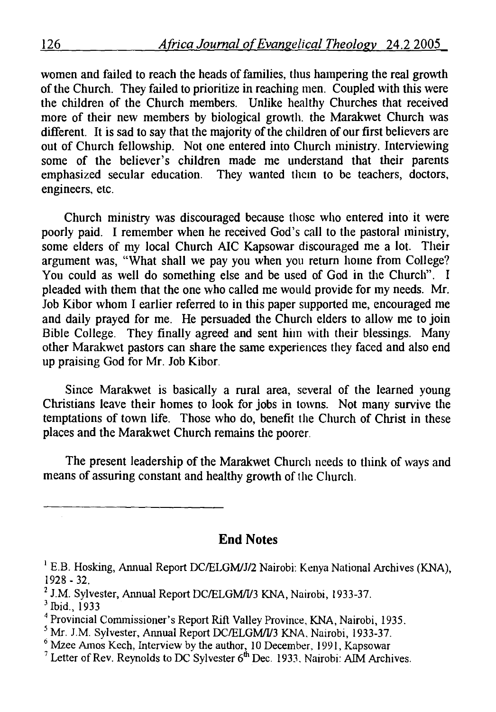women and failed to reach the heads of families, thus hampering the real growth of the Church. They failed to prioritize in reaching men. Coupled with this were the children of the Church members. Unlike healthy Churches that received more of their new members by biological growth. the Marakwet Church was different. It is sad to say that the majority of the children of our first believers are out of Church fellowship. Not one entered into Church ministry. Interviewing some of the believer's children made me understand that their parents emphasized secular education. They wanted them to be teachers, doctors, engineers, etc.

Church ministry was discouraged because those who entered into it were poorly paid. I remember when he received God's call to the pastoral ministry, some elders of my local Church AIC Kapsowar discouraged me a lot. Their argument was, "What shall we pay you when you return home from College? You could as well do something else and be used of God in the Church". I pleaded with them that the one who called me would provide for my needs. Mr. Job Kibor whom I earlier referred to in this paper supported me, encouraged me and daily prayed for me. He persuaded the Church elders to allow me to join Bible College. They finally agreed and sent him with their blessings. Many other Marakwet pastors can share the same experiences they faced and also end up praising God for Mr. Job Kibor.

Since Marakwet is basically a rural area, several of the learned young Christians leave their homes to look for jobs in towns. Not many survive the temptations of town life. Those who do, benefit the Church of Christ in these places and the Marakwet Church remains the poorer.

The present leadership of the Marakwet Church needs to think of ways and means of assuring constant and healthy growth of the Church.

**End** Notes

- 
- 
- 
- 

<sup>&</sup>lt;sup>1</sup> E.B. Hosking, Annual Report DC/ELGM/J/2 Nairobi: Kenya National Archives (KNA), 1928 - 32.<br>
<sup>2</sup> J.M. Sylvester, Annual Report DC/ELGM/I/3 KNA, Nairobi, 1933-37.<br>
<sup>3</sup> Ibid., 1933<br>
<sup>4</sup> Provincial Commissioner's Report Rift Valley Province, KNA, Nairobi, 1935.<br>
<sup>5</sup> Mr. J.M. Sylvester, Annual Report DC/E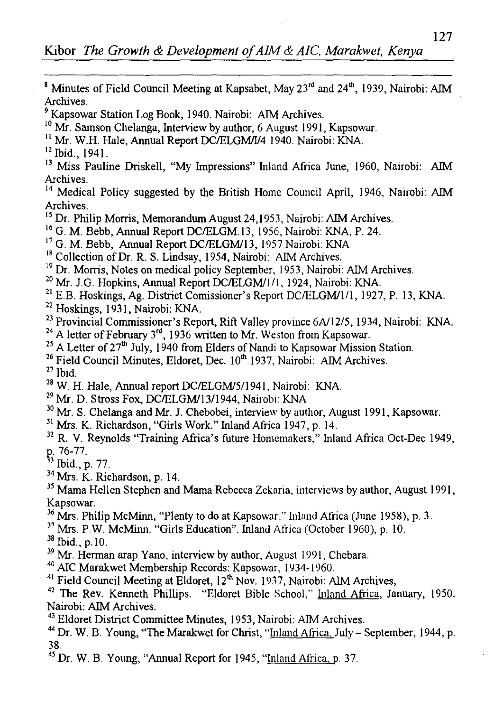<sup>8</sup> Minutes of Field Council Meeting at Kapsabet, May  $23^{rd}$  and  $24^{th}$ , 1939, Nairobi: AIM Archives.

9 Kapsowar Station Log Book, 1940. Nairobi: AIM Archives.

<sup>10</sup> Mr. Samson Chelanga, Interview by author, 6 August 1991, Kapsowar.

<sup>11</sup> Mr. W.H. Hale, Annual Report DC/ELGM/I/4 1940. Nairobi: KNA.<br><sup>12</sup> Ibid., 1941.

<sup>13</sup> Miss Pauline Driskell, "My Impressions" Inland Africa June, 1960, Nairobi: AIM Archives.

<sup>14</sup> Medical Policy suggested by the British Home Council April, 1946, Nairobi: AIM Archives.<br><sup>15</sup> Dr. Philip Morris, Memorandum August 24,1953, Nairobi: AIM Archives.

- 
- <sup>16</sup> G. M. Bebb, Annual Report DC/ELGM 13, 1956, Nairobi: KNA, P. 24.<br><sup>17</sup> G. M. Bebb, Annual Report DC/ELGM/13, 1957 Nairobi: KNA
- 
- 
- <sup>18</sup> Collection of Dr. R. S. Lindsay, 1954, Nairobi: AIM Archives.<br><sup>19</sup> Dr. Morris, Notes on medical policy September, 1953, Nairobi: AIM Archives.
- 
- <sup>20</sup> Mr. J.G. Hopkins, Annual Report DC/ELGM/1/1, 1924, Nairobi: KNA.<br><sup>21</sup> E.B. Hoskings, Ag. District Comissioner's Report DC/ELGM/1/1, 1927, P. 13, KNA.
- 
- <sup>22</sup> Hoskings, 1931, Nairobi: KNA.<br><sup>23</sup> Provincial Commissioner's Report. Rift Valley province 6A/12/5, 1934, Nairobi: KNA.
- 
- 
- <sup>24</sup> A letter of February 3<sup>rd</sup>, 1936 written to Mr. Weston from Kapsowar.<br>
<sup>25</sup> A Letter of 27<sup>th</sup> July, 1940 from Elders of Nandi to Kapsowar Mission Station.<br>
<sup>26</sup> Field Council Minutes, Eldoret, Dec. 10<sup>th</sup> 1937, Nair

- 
- 
- 31 Mrs. K. Richardson, "Girls Work." Inland Africa 1947, p. 14.
- <sup>32</sup> R. V. Reynolds "Training Africa's future Homemakers," Inland Africa Oct-Dec 1949, p. 76-77.<br><sup>33</sup> Ibid., p. 77.<br><sup>34</sup> Mrs. K. Richardson. p. 14.
- 
- 
- <sup>35</sup> Mama Hellen Stephen and Mama Rebecca Zekaria, interviews by author, August 1991, Kapsowar.
- <sup>36</sup> Mrs. Philip McMinn, "Plenty to do at Kapsowar," Inland Africa (June 1958), p. 3.
- <sup>37</sup> Mrs. P.W. McMinn. "Girls Education". Inland Africa (October 1960), p. 10.<br><sup>38</sup> Ibid., p. 10.<br><sup>39</sup> Mr. Herman arap Yano, interview by author, August 1991, Chebara.<br><sup>40</sup> AIC Marakwet Membership Records: Kapsowar, 1934-

- 
- 
- 
- Nairobi: AIM Archives.
- 
- <sup>43</sup> Eldoret District Committee Minutes, 1953, Nairobi: AIM Archives.<br><sup>44</sup> Dr. W. B. Young, "The Marakwet for Christ, "Inland Africa, July September, 1944, p. 38.
- *<sup>45</sup>*Dr. W. B. Young, "Annual Report for 1945, "Inland Africa, p. 37.